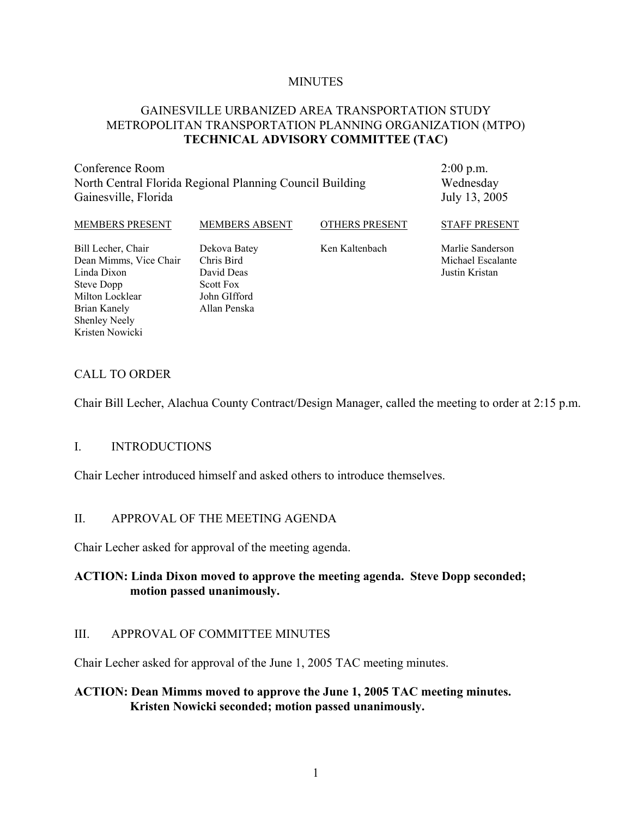#### **MINUTES**

# GAINESVILLE URBANIZED AREA TRANSPORTATION STUDY METROPOLITAN TRANSPORTATION PLANNING ORGANIZATION (MTPO) **TECHNICAL ADVISORY COMMITTEE (TAC)**

Conference Room North Central Florida Regional Planning Council Building Gainesville, Florida

2:00 p.m. Wednesday July 13, 2005

| MEMBERS PRESENT        | <b>MEMBERS ABSENT</b> | <b>OTHERS PRESENT</b> | <b>STAFF PRESENT</b> |
|------------------------|-----------------------|-----------------------|----------------------|
| Bill Lecher, Chair     | Dekova Batey          | Ken Kaltenbach        | Marlie Sanderson     |
| Dean Mimms, Vice Chair | Chris Bird            |                       | Michael Escalante    |
| Linda Dixon            | David Deas            |                       | Justin Kristan       |
| Steve Dopp             | <b>Scott Fox</b>      |                       |                      |
| Milton Locklear        | John GIfford          |                       |                      |
| Brian Kanely           | Allan Penska          |                       |                      |

## CALL TO ORDER

Shenley Neely Kristen Nowicki

Chair Bill Lecher, Alachua County Contract/Design Manager, called the meeting to order at 2:15 p.m.

#### I. INTRODUCTIONS

Chair Lecher introduced himself and asked others to introduce themselves.

### II. APPROVAL OF THE MEETING AGENDA

Chair Lecher asked for approval of the meeting agenda.

## **ACTION: Linda Dixon moved to approve the meeting agenda. Steve Dopp seconded; motion passed unanimously.**

#### III. APPROVAL OF COMMITTEE MINUTES

Chair Lecher asked for approval of the June 1, 2005 TAC meeting minutes.

### **ACTION: Dean Mimms moved to approve the June 1, 2005 TAC meeting minutes. Kristen Nowicki seconded; motion passed unanimously.**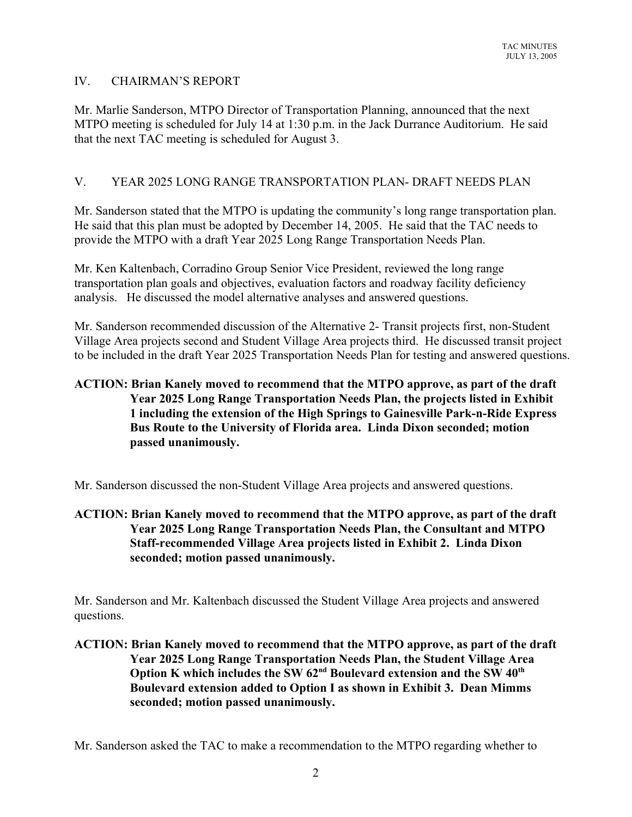## IV. CHAIRMAN'S REPORT

Mr. Marlie Sanderson, MTPO Director of Transportation Planning, announced that the next MTPO meeting is scheduled for July 14 at 1:30 p.m. in the Jack Durrance Auditorium. He said that the next TAC meeting is scheduled for August 3.

# V. YEAR 2025 LONG RANGE TRANSPORTATION PLAN- DRAFT NEEDS PLAN

Mr. Sanderson stated that the MTPO is updating the community's long range transportation plan. He said that this plan must be adopted by December 14, 2005. He said that the TAC needs to provide the MTPO with a draft Year 2025 Long Range Transportation Needs Plan.

Mr. Ken Kaltenbach, Corradino Group Senior Vice President, reviewed the long range transportation plan goals and objectives, evaluation factors and roadway facility deficiency analysis. He discussed the model alternative analyses and answered questions.

Mr. Sanderson recommended discussion of the Alternative 2- Transit projects first, non-Student Village Area projects second and Student Village Area projects third. He discussed transit project to be included in the draft Year 2025 Transportation Needs Plan for testing and answered questions.

# **ACTION: Brian Kanely moved to recommend that the MTPO approve, as part of the draft Year 2025 Long Range Transportation Needs Plan, the projects listed in Exhibit 1 including the extension of the High Springs to Gainesville Park-n-Ride Express Bus Route to the University of Florida area. Linda Dixon seconded; motion passed unanimously.**

Mr. Sanderson discussed the non-Student Village Area projects and answered questions.

# **ACTION: Brian Kanely moved to recommend that the MTPO approve, as part of the draft Year 2025 Long Range Transportation Needs Plan, the Consultant and MTPO Staff-recommended Village Area projects listed in Exhibit 2. Linda Dixon seconded; motion passed unanimously.**

Mr. Sanderson and Mr. Kaltenbach discussed the Student Village Area projects and answered questions.

# **ACTION: Brian Kanely moved to recommend that the MTPO approve, as part of the draft Year 2025 Long Range Transportation Needs Plan, the Student Village Area** Option K which includes the SW 62<sup>nd</sup> Boulevard extension and the SW 40<sup>th</sup> **Boulevard extension added to Option I as shown in Exhibit 3. Dean Mimms seconded; motion passed unanimously.**

Mr. Sanderson asked the TAC to make a recommendation to the MTPO regarding whether to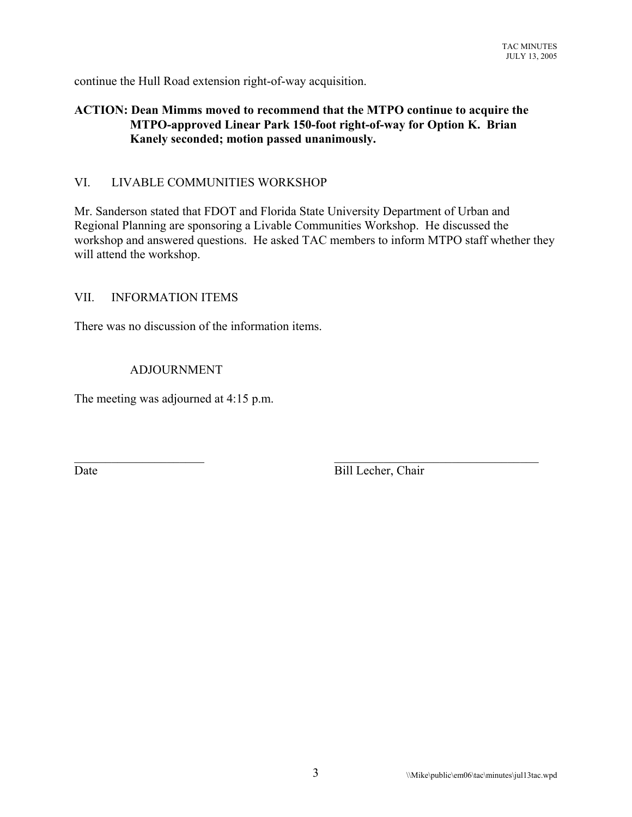continue the Hull Road extension right-of-way acquisition.

# **ACTION: Dean Mimms moved to recommend that the MTPO continue to acquire the MTPO-approved Linear Park 150-foot right-of-way for Option K. Brian Kanely seconded; motion passed unanimously.**

# VI. LIVABLE COMMUNITIES WORKSHOP

Mr. Sanderson stated that FDOT and Florida State University Department of Urban and Regional Planning are sponsoring a Livable Communities Workshop. He discussed the workshop and answered questions. He asked TAC members to inform MTPO staff whether they will attend the workshop.

 $\mathcal{L}_\text{max}$  , and the contribution of the contribution of the contribution of the contribution of the contribution of the contribution of the contribution of the contribution of the contribution of the contribution of t

#### VII. INFORMATION ITEMS

There was no discussion of the information items.

#### ADJOURNMENT

The meeting was adjourned at 4:15 p.m.

Date Bill Lecher, Chair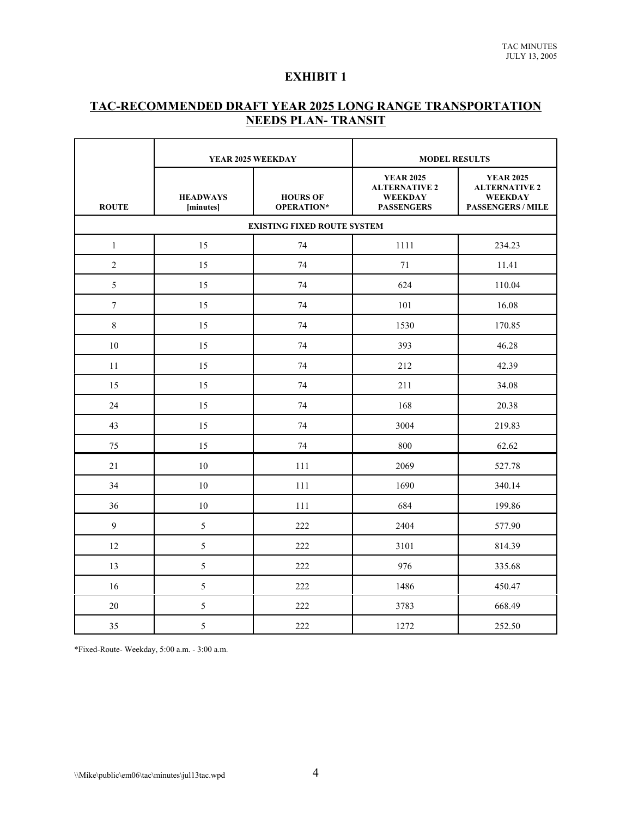#### **EXHIBIT 1**

### **TAC-RECOMMENDED DRAFT YEAR 2025 LONG RANGE TRANSPORTATION NEEDS PLAN- TRANSIT**

|                  | YEAR 2025 WEEKDAY                  |                               | <b>MODEL RESULTS</b>                                                            |                                                                                        |  |  |
|------------------|------------------------------------|-------------------------------|---------------------------------------------------------------------------------|----------------------------------------------------------------------------------------|--|--|
| <b>ROUTE</b>     | <b>HEADWAYS</b><br>[minutes]       | <b>HOURS OF</b><br>OPERATION* | <b>YEAR 2025</b><br><b>ALTERNATIVE 2</b><br><b>WEEKDAY</b><br><b>PASSENGERS</b> | <b>YEAR 2025</b><br><b>ALTERNATIVE 2</b><br><b>WEEKDAY</b><br><b>PASSENGERS / MILE</b> |  |  |
|                  | <b>EXISTING FIXED ROUTE SYSTEM</b> |                               |                                                                                 |                                                                                        |  |  |
| $\mathbf{1}$     | 15                                 | 74                            | 1111                                                                            | 234.23                                                                                 |  |  |
| $\overline{2}$   | 15                                 | 74                            | 71                                                                              | 11.41                                                                                  |  |  |
| 5                | 15                                 | 74                            | 624                                                                             | 110.04                                                                                 |  |  |
| $\boldsymbol{7}$ | 15                                 | 74                            | 101                                                                             | 16.08                                                                                  |  |  |
| 8                | 15                                 | 74                            | 1530                                                                            | 170.85                                                                                 |  |  |
| 10               | 15                                 | 74                            | 393                                                                             | 46.28                                                                                  |  |  |
| 11               | 15                                 | 74                            | 212                                                                             | 42.39                                                                                  |  |  |
| 15               | 15                                 | 74                            | 211                                                                             | 34.08                                                                                  |  |  |
| 24               | 15                                 | 74                            | 168                                                                             | 20.38                                                                                  |  |  |
| 43               | 15                                 | 74                            | 3004                                                                            | 219.83                                                                                 |  |  |
| 75               | 15                                 | 74                            | 800                                                                             | 62.62                                                                                  |  |  |
| 21               | $10\,$                             | 111                           | 2069                                                                            | 527.78                                                                                 |  |  |
| 34               | 10                                 | 111                           | 1690                                                                            | 340.14                                                                                 |  |  |
| 36               | 10                                 | 111                           | 684                                                                             | 199.86                                                                                 |  |  |
| 9                | 5                                  | 222                           | 2404                                                                            | 577.90                                                                                 |  |  |
| 12               | 5                                  | 222                           | 3101                                                                            | 814.39                                                                                 |  |  |
| 13               | 5                                  | 222                           | 976                                                                             | 335.68                                                                                 |  |  |
| 16               | 5                                  | 222                           | 1486                                                                            | 450.47                                                                                 |  |  |
| 20               | 5                                  | 222                           | 3783                                                                            | 668.49                                                                                 |  |  |
| 35               | 5                                  | 222                           | 1272                                                                            | 252.50                                                                                 |  |  |

\*Fixed-Route- Weekday, 5:00 a.m. - 3:00 a.m.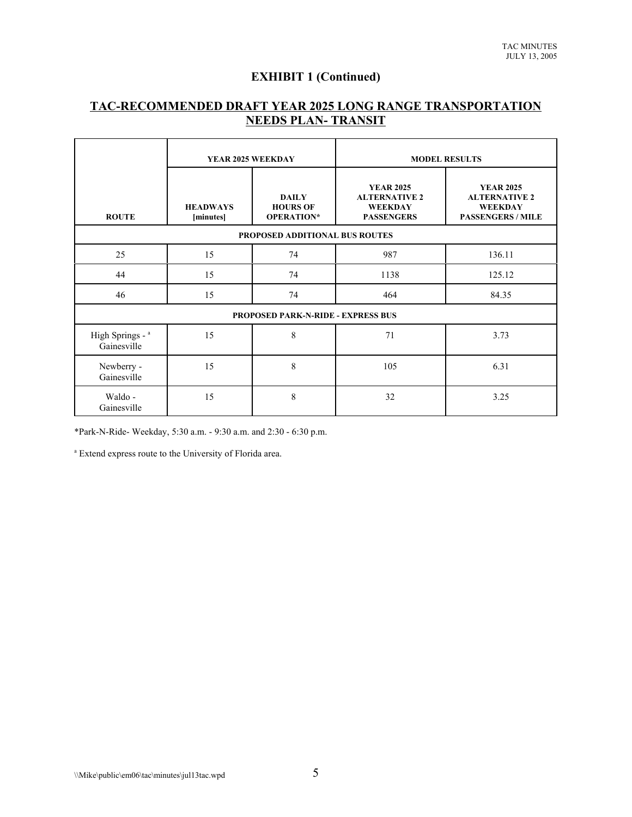# **EXHIBIT 1 (Continued)**

# **TAC-RECOMMENDED DRAFT YEAR 2025 LONG RANGE TRANSPORTATION NEEDS PLAN- TRANSIT**

|                                           | YEAR 2025 WEEKDAY            |                                               | <b>MODEL RESULTS</b>                                                            |                                                                                        |
|-------------------------------------------|------------------------------|-----------------------------------------------|---------------------------------------------------------------------------------|----------------------------------------------------------------------------------------|
| <b>ROUTE</b>                              | <b>HEADWAYS</b><br>[minutes] | <b>DAILY</b><br><b>HOURS OF</b><br>OPERATION* | <b>YEAR 2025</b><br><b>ALTERNATIVE 2</b><br><b>WEEKDAY</b><br><b>PASSENGERS</b> | <b>YEAR 2025</b><br><b>ALTERNATIVE 2</b><br><b>WEEKDAY</b><br><b>PASSENGERS / MILE</b> |
| PROPOSED ADDITIONAL BUS ROUTES            |                              |                                               |                                                                                 |                                                                                        |
| 25                                        | 15                           | 74                                            | 987                                                                             | 136.11                                                                                 |
| 44                                        | 15                           | 74                                            | 1138                                                                            | 125.12                                                                                 |
| 46                                        | 15                           | 74                                            | 464                                                                             | 84.35                                                                                  |
| <b>PROPOSED PARK-N-RIDE - EXPRESS BUS</b> |                              |                                               |                                                                                 |                                                                                        |
| High Springs - a<br>Gainesville           | 15                           | 8                                             | 71                                                                              | 3.73                                                                                   |
| Newberry -<br>Gainesville                 | 15                           | 8                                             | 105                                                                             | 6.31                                                                                   |
| Waldo -<br>Gainesville                    | 15                           | 8                                             | 32                                                                              | 3.25                                                                                   |

\*Park-N-Ride- Weekday, 5:30 a.m. - 9:30 a.m. and 2:30 - 6:30 p.m.

a Extend express route to the University of Florida area.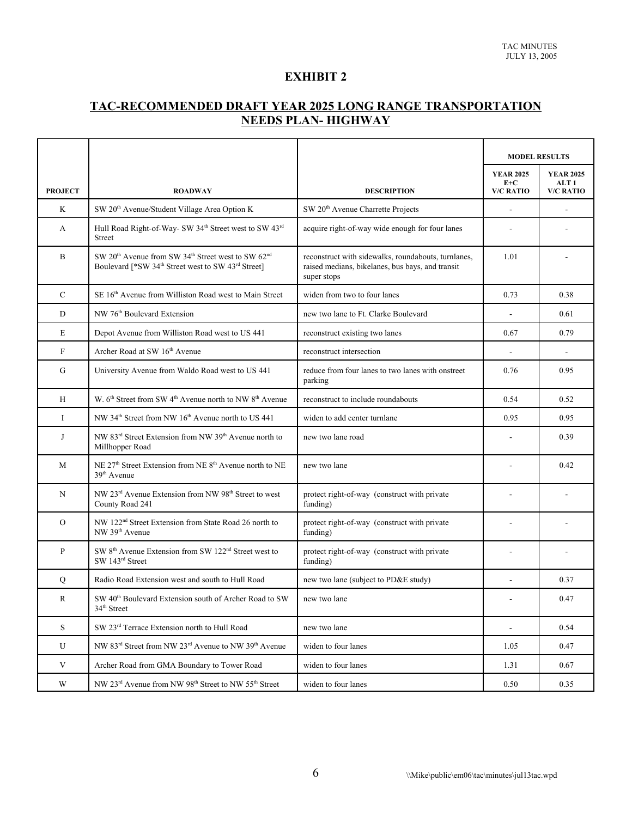### **EXHIBIT 2**

### **TAC-RECOMMENDED DRAFT YEAR 2025 LONG RANGE TRANSPORTATION NEEDS PLAN- HIGHWAY**

|                |                                                                                                                                                                      |                                                                                                                        | <b>MODEL RESULTS</b>      |                                      |
|----------------|----------------------------------------------------------------------------------------------------------------------------------------------------------------------|------------------------------------------------------------------------------------------------------------------------|---------------------------|--------------------------------------|
|                |                                                                                                                                                                      |                                                                                                                        | <b>YEAR 2025</b><br>$E+C$ | <b>YEAR 2025</b><br>ALT <sub>1</sub> |
| <b>PROJECT</b> | <b>ROADWAY</b>                                                                                                                                                       | <b>DESCRIPTION</b>                                                                                                     | <b>V/C RATIO</b>          | <b>V/C RATIO</b>                     |
| K              | SW 20 <sup>th</sup> Avenue/Student Village Area Option K                                                                                                             | SW 20 <sup>th</sup> Avenue Charrette Projects                                                                          |                           |                                      |
| A              | Hull Road Right-of-Way- SW 34 <sup>th</sup> Street west to SW 43 <sup>rd</sup><br><b>Street</b>                                                                      | acquire right-of-way wide enough for four lanes                                                                        |                           |                                      |
| $\, {\bf B}$   | SW 20 <sup>th</sup> Avenue from SW 34 <sup>th</sup> Street west to SW 62 <sup>nd</sup><br>Boulevard [*SW 34 <sup>th</sup> Street west to SW 43 <sup>rd</sup> Street] | reconstruct with sidewalks, roundabouts, turnlanes,<br>raised medians, bikelanes, bus bays, and transit<br>super stops | 1.01                      |                                      |
| $\mathbf C$    | SE 16th Avenue from Williston Road west to Main Street                                                                                                               | widen from two to four lanes                                                                                           | 0.73                      | 0.38                                 |
| D              | NW 76 <sup>th</sup> Boulevard Extension                                                                                                                              | new two lane to Ft. Clarke Boulevard                                                                                   |                           | 0.61                                 |
| E              | Depot Avenue from Williston Road west to US 441                                                                                                                      | reconstruct existing two lanes                                                                                         | 0.67                      | 0.79                                 |
| $\mathbf F$    | Archer Road at SW 16th Avenue                                                                                                                                        | reconstruct intersection                                                                                               | ÷,                        | ÷,                                   |
| $\mathbf G$    | University Avenue from Waldo Road west to US 441                                                                                                                     | reduce from four lanes to two lanes with onstreet<br>parking                                                           | 0.76                      | 0.95                                 |
| H              | W. 6 <sup>th</sup> Street from SW 4 <sup>th</sup> Avenue north to NW 8 <sup>th</sup> Avenue                                                                          | reconstruct to include roundabouts                                                                                     | 0.54                      | 0.52                                 |
| I              | NW 34 <sup>th</sup> Street from NW 16 <sup>th</sup> Avenue north to US 441                                                                                           | widen to add center turnlane                                                                                           | 0.95                      | 0.95                                 |
| J              | NW 83 <sup>rd</sup> Street Extension from NW 39 <sup>th</sup> Avenue north to<br>Millhopper Road                                                                     | new two lane road                                                                                                      |                           | 0.39                                 |
| M              | NE 27 <sup>th</sup> Street Extension from NE 8 <sup>th</sup> Avenue north to NE<br>$39th$ Avenue                                                                     | new two lane                                                                                                           |                           | 0.42                                 |
| N              | NW 23 <sup>rd</sup> Avenue Extension from NW 98 <sup>th</sup> Street to west<br>County Road 241                                                                      | protect right-of-way (construct with private<br>funding)                                                               |                           |                                      |
| $\overline{O}$ | NW 122 <sup>nd</sup> Street Extension from State Road 26 north to<br>NW 39 <sup>th</sup> Avenue                                                                      | protect right-of-way (construct with private<br>funding)                                                               |                           |                                      |
| $\mathbf{P}$   | SW 8 <sup>th</sup> Avenue Extension from SW 122 <sup>nd</sup> Street west to<br>SW 143rd Street                                                                      | protect right-of-way (construct with private<br>funding)                                                               |                           |                                      |
| Q              | Radio Road Extension west and south to Hull Road                                                                                                                     | new two lane (subject to PD&E study)                                                                                   |                           | 0.37                                 |
| R              | SW 40 <sup>th</sup> Boulevard Extension south of Archer Road to SW<br>34 <sup>th</sup> Street                                                                        | new two lane                                                                                                           |                           | 0.47                                 |
| <sub>S</sub>   | SW 23rd Terrace Extension north to Hull Road                                                                                                                         | new two lane                                                                                                           | ÷.                        | 0.54                                 |
| U              | NW 83 <sup>rd</sup> Street from NW 23 <sup>rd</sup> Avenue to NW 39 <sup>th</sup> Avenue                                                                             | widen to four lanes                                                                                                    | 1.05                      | 0.47                                 |
| $\mathbf V$    | Archer Road from GMA Boundary to Tower Road                                                                                                                          | widen to four lanes                                                                                                    | 1.31                      | 0.67                                 |
| W              | NW 23 <sup>rd</sup> Avenue from NW 98 <sup>th</sup> Street to NW 55 <sup>th</sup> Street                                                                             | widen to four lanes                                                                                                    | 0.50                      | 0.35                                 |